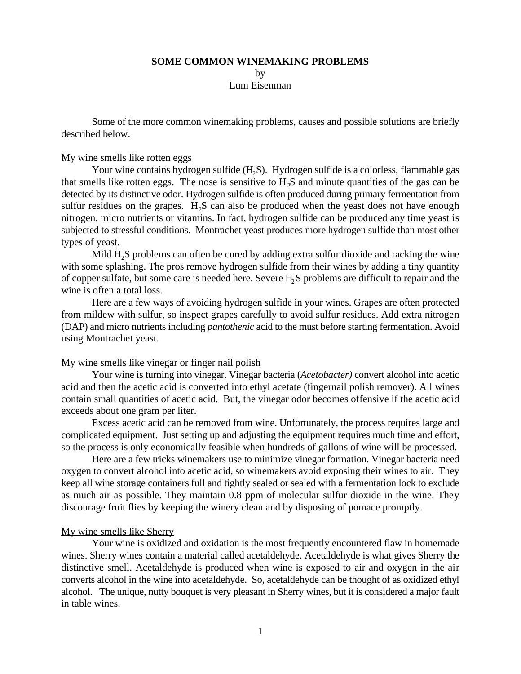### **SOME COMMON WINEMAKING PROBLEMS**

by

# Lum Eisenman

Some of the more common winemaking problems, causes and possible solutions are briefly described below.

#### My wine smells like rotten eggs

Your wine contains hydrogen sulfide (H<sub>2</sub>S). Hydrogen sulfide is a colorless, flammable gas that smells like rotten eggs. The nose is sensitive to  $H<sub>2</sub>S$  and minute quantities of the gas can be detected by its distinctive odor. Hydrogen sulfide is often produced during primary fermentation from sulfur residues on the grapes.  $H<sub>2</sub>S$  can also be produced when the yeast does not have enough nitrogen, micro nutrients or vitamins. In fact, hydrogen sulfide can be produced any time yeast is subjected to stressful conditions. Montrachet yeast produces more hydrogen sulfide than most other types of yeast.

Mild H<sub>2</sub>S problems can often be cured by adding extra sulfur dioxide and racking the wine with some splashing. The pros remove hydrogen sulfide from their wines by adding a tiny quantity of copper sulfate, but some care is needed here. Severe H2S problems are difficult to repair and the wine is often a total loss.

Here are a few ways of avoiding hydrogen sulfide in your wines. Grapes are often protected from mildew with sulfur, so inspect grapes carefully to avoid sulfur residues. Add extra nitrogen (DAP) and micro nutrients including *pantothenic* acid to the must before starting fermentation. Avoid using Montrachet yeast.

# My wine smells like vinegar or finger nail polish

Your wine is turning into vinegar. Vinegar bacteria (*Acetobacter)* convert alcohol into acetic acid and then the acetic acid is converted into ethyl acetate (fingernail polish remover). All wines contain small quantities of acetic acid. But, the vinegar odor becomes offensive if the acetic acid exceeds about one gram per liter.

Excess acetic acid can be removed from wine. Unfortunately, the process requires large and complicated equipment. Just setting up and adjusting the equipment requires much time and effort, so the process is only economically feasible when hundreds of gallons of wine will be processed.

Here are a few tricks winemakers use to minimize vinegar formation. Vinegar bacteria need oxygen to convert alcohol into acetic acid, so winemakers avoid exposing their wines to air. They keep all wine storage containers full and tightly sealed or sealed with a fermentation lock to exclude as much air as possible. They maintain 0.8 ppm of molecular sulfur dioxide in the wine. They discourage fruit flies by keeping the winery clean and by disposing of pomace promptly.

# My wine smells like Sherry

Your wine is oxidized and oxidation is the most frequently encountered flaw in homemade wines. Sherry wines contain a material called acetaldehyde. Acetaldehyde is what gives Sherry the distinctive smell. Acetaldehyde is produced when wine is exposed to air and oxygen in the air converts alcohol in the wine into acetaldehyde. So, acetaldehyde can be thought of as oxidized ethyl alcohol. The unique, nutty bouquet is very pleasant in Sherry wines, but it is considered a major fault in table wines.